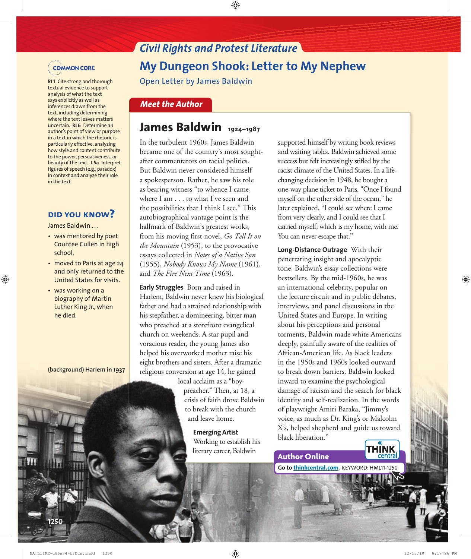# *Civil Rights and Protest Literature*

# **COMMON CORE**

**RI 1** Cite strong and thorough textual evidence to support analysis of what the text says explicitly as well as inferences drawn from the text, including determining where the text leaves matters uncertain. **RI 6** Determine an author's point of view or purpose in a text in which the rhetoric is particularly effective, analyzing how style and content contribute to the power, persuasiveness, or beauty of the text. **L 5a** Interpret figures of speech (e.g., paradox) in context and analyze their role in the text.

#### **did you know?**

James Baldwin . . .

- was mentored by poet Countee Cullen in high school.
- moved to Paris at age 24 and only returned to the United States for visits.
- was working on a biography of Martin Luther King Jr., when he died.

**(background) Harlem in 1937**

# **My Dungeon Shook: Letter to My Nephew**

Open Letter by James Baldwin

#### *Meet the Author*

# **James Baldwin 1924–1987**

In the turbulent 1960s, James Baldwin became one of the country's most soughtafter commentators on racial politics. But Baldwin never considered himself a spokesperson. Rather, he saw his role as bearing witness "to whence I came, where I am . . . to what I've seen and the possibilities that I think I see." This autobiographical vantage point is the hallmark of Baldwin's greatest works, from his moving first novel, *Go Tell It on the Mountain* (1953), to the provocative essays collected in *Notes of a Native Son* (1955), *Nobody Knows My Name* (1961), and *The Fire Next Time* (1963).

**Early Struggles** Born and raised in Harlem, Baldwin never knew his biological father and had a strained relationship with his stepfather, a domineering, bitter man who preached at a storefront evangelical church on weekends. A star pupil and voracious reader, the young James also helped his overworked mother raise his eight brothers and sisters. After a dramatic religious conversion at age 14, he gained

> local acclaim as a "boy preacher." Then, at 18, a prea crisis of faith drove Baldwin cris to break with the church and leave home. an

> > **Emerging Artist**  Working to establish his W literary career, Baldwin l

supported himself by writing book reviews and waiting tables. Baldwin achieved some success but felt increasingly stifled by the racist climate of the United States. In a lifechanging decision in 1948, he bought a one-way plane ticket to Paris. "Once I found myself on the other side of the ocean," he later explained, "I could see where I came from very clearly, and I could see that I carried myself, which is my home, with me. You can never escape that."

**Long-Distance Outrage** With their penetrating insight and apocalyptic tone, Baldwin's essay collections were bestsellers. By the mid-1960s, he was an international celebrity, popular on the lecture circuit and in public debates, interviews, and panel discussions in the United States and Europe. In writing about his perceptions and personal torments, Baldwin made white Americans deeply, painfully aware of the realities of African-American life. As black leaders in the 1950s and 1960s looked outward to break down barriers, Baldwin looked inward to examine the psychological damage of racism and the search for black identity and self-realization. In the words of playwright Amiri Baraka, "Jimmy's voice, as much as Dr. King's or Malcolm X's, helped shepherd and guide us toward black liberation."

**Go to thinkcentral.com.** KEYWORD: HML11-1250 **Author Online**

**1250**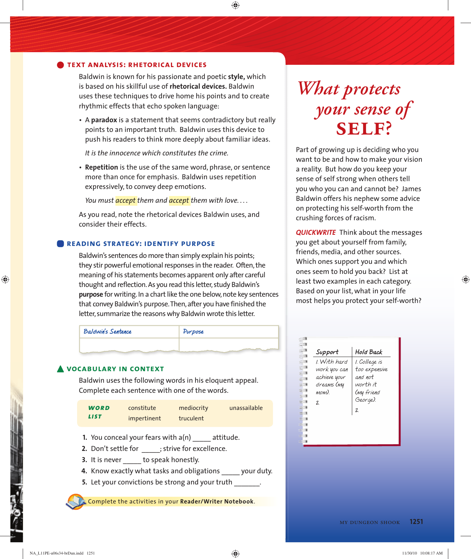#### **text analysis: rhetorical devices**

Baldwin is known for his passionate and poetic **style,** which is based on his skillful use of **rhetorical devices.** Baldwin uses these techniques to drive home his points and to create rhythmic effects that echo spoken language:

• A **paradox** is a statement that seems contradictory but really points to an important truth. Baldwin uses this device to push his readers to think more deeply about familiar ideas.

*It is the innocence which constitutes the crime.*

• **Repetition** is the use of the same word, phrase, or sentence more than once for emphasis. Baldwin uses repetition expressively, to convey deep emotions.

*You must accept them and accept them with love. . . .*

As you read, note the rhetorical devices Baldwin uses, and consider their effects.

#### **reading strategy: identify purpose**

Baldwin's sentences do more than simply explain his points; they stir powerful emotional responses in the reader. Often, the meaning of his statements becomes apparent only after careful thought and reflection. As you read this letter, study Baldwin's **purpose** for writing. In a chart like the one below, note key sentences that convey Baldwin's purpose. Then, after you have finished the letter, summarize the reasons why Baldwin wrote this letter.

| <b>Baldwin's Sentence</b> | Purpose |
|---------------------------|---------|
|                           |         |

#### **vocabulary in context**

Baldwin uses the following words in his eloquent appeal. Complete each sentence with one of the words.

| <b>WORD</b> | constitute  | mediocrity | unassailable |
|-------------|-------------|------------|--------------|
| <b>LIST</b> | impertinent | truculent  |              |

- **1.** You conceal your fears with  $a(n)$  attitude.
- **2.** Don't settle for  $\qquad$ ; strive for excellence.
- **3.** It is never to speak honestly.
- **4.** Know exactly what tasks and obligations \_\_\_\_\_ your duty.
- **5.** Let your convictions be strong and your truth  $\qquad \qquad$ .

Complete the activities in your **Reader/Writer Notebook**.

# *What protects your sense of* **self?**

Part of growing up is deciding who you want to be and how to make your vision a reality. But how do you keep your sense of self strong when others tell you who you can and cannot be? James Baldwin offers his nephew some advice on protecting his self-worth from the crushing forces of racism.

*QUICKWRITE* Think about the messages you get about yourself from family, friends, media, and other sources. Which ones support you and which ones seem to hold you back? List at least two examples in each category. Based on your list, what in your life most helps you protect your self-worth?

| Support      | Hold Back     |
|--------------|---------------|
| 1. With hard | I. College is |
| work you can | too expensive |
| achieve your | and not       |
| dreams (my   | worth it      |
| mom).        | (my friend    |
| 2            | George).      |
|              | 2             |
|              |               |
|              |               |
|              |               |
|              |               |
|              |               |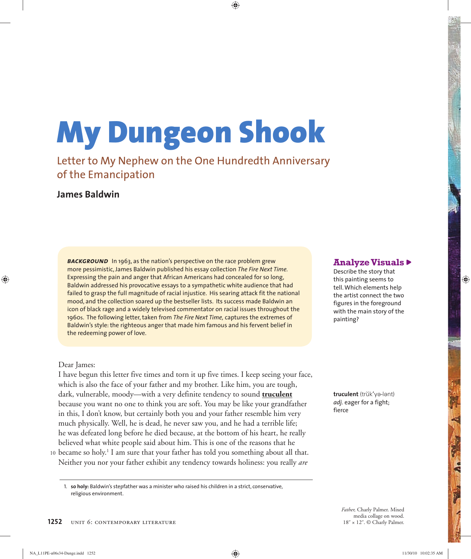# **My Dungeon Shook**

# Letter to My Nephew on the One Hundredth Anniversary of the Emancipation

### **James Baldwin**

**BACKGROUND** In 1963, as the nation's perspective on the race problem grew more pessimistic, James Baldwin published his essay collection *The Fire Next Time.* Expressing the pain and anger that African Americans had concealed for so long, Baldwin addressed his provocative essays to a sympathetic white audience that had failed to grasp the full magnitude of racial injustice. His searing attack fit the national mood, and the collection soared up the bestseller lists. Its success made Baldwin an icon of black rage and a widely televised commentator on racial issues throughout the 1960s. The following letter, taken from *The Fire Next Time,* captures the extremes of Baldwin's style: the righteous anger that made him famous and his fervent belief in the redeeming power of love.

#### Dear James:

10 became so holy.<sup>1</sup> I am sure that your father has told you something about all that. I have begun this letter five times and torn it up five times. I keep seeing your face, which is also the face of your father and my brother. Like him, you are tough, dark, vulnerable, moody—with a very definite tendency to sound **truculent** because you want no one to think you are soft. You may be like your grandfather in this, I don't know, but certainly both you and your father resemble him very much physically. Well, he is dead, he never saw you, and he had a terrible life; he was defeated long before he died because, at the bottom of his heart, he really believed what white people said about him. This is one of the reasons that he

Neither you nor your father exhibit any tendency towards holiness: you really *are*

 1. **so holy:** Baldwin's stepfather was a minister who raised his children in a strict, conservative, religious environment.

#### **Analyze Visuals**

Describe the story that this painting seems to tell. Which elements help the artist connect the two figures in the foreground with the main story of the painting?

truculent (trŭk'ye-lent) *adj.* eager for a fight; fierce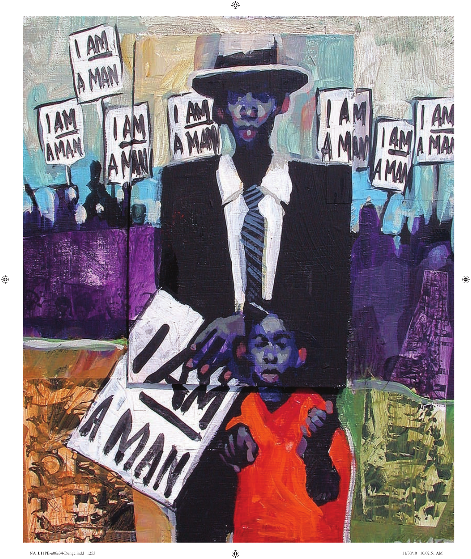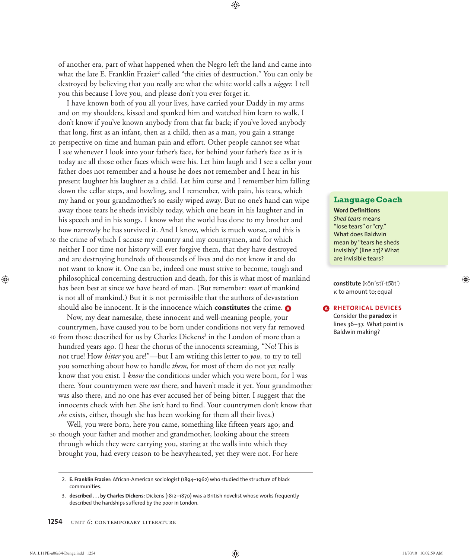of another era, part of what happened when the Negro left the land and came into what the late E. Franklin Frazier<sup>2</sup> called "the cities of destruction." You can only be destroyed by believing that you really are what the white world calls a *nigger.* I tell you this because I love you, and please don't you ever forget it.

I have known both of you all your lives, have carried your Daddy in my arms and on my shoulders, kissed and spanked him and watched him learn to walk. I don't know if you've known anybody from that far back; if you've loved anybody that long, first as an infant, then as a child, then as a man, you gain a strange 20 perspective on time and human pain and effort. Other people cannot see what I see whenever I look into your father's face, for behind your father's face as it is today are all those other faces which were his. Let him laugh and I see a cellar your father does not remember and a house he does not remember and I hear in his present laughter his laughter as a child. Let him curse and I remember him falling down the cellar steps, and howling, and I remember, with pain, his tears, which

my hand or your grandmother's so easily wiped away. But no one's hand can wipe away those tears he sheds invisibly today, which one hears in his laughter and in his speech and in his songs. I know what the world has done to my brother and how narrowly he has survived it. And I know, which is much worse, and this is

30 the crime of which I accuse my country and my countrymen, and for which neither I nor time nor history will ever forgive them, that they have destroyed and are destroying hundreds of thousands of lives and do not know it and do not want to know it. One can be, indeed one must strive to become, tough and philosophical concerning destruction and death, for this is what most of mankind has been best at since we have heard of man. (But remember: *most* of mankind is not all of mankind.) But it is not permissible that the authors of devastation should also be innocent. It is the innocence which **constitutes** the crime. **a**

Now, my dear namesake, these innocent and well-meaning people, your countrymen, have caused you to be born under conditions not very far removed  $40$  from those described for us by Charles Dickens $^3$  in the London of more than a hundred years ago. (I hear the chorus of the innocents screaming, "No! This is not true! How *bitter* you are!"—but I am writing this letter to *you,* to try to tell you something about how to handle *them,* for most of them do not yet really know that you exist. I *know* the conditions under which you were born, for I was there. Your countrymen were *not* there, and haven't made it yet. Your grandmother was also there, and no one has ever accused her of being bitter. I suggest that the innocents check with her. She isn't hard to find. Your countrymen don't know that *she* exists, either, though she has been working for them all their lives.)

Well, you were born, here you came, something like fifteen years ago; and 50 though your father and mother and grandmother, looking about the streets through which they were carrying you, staring at the walls into which they brought you, had every reason to be heavyhearted, yet they were not. For here

#### **Language Coach**

**Word Definitions**  *Shed tears* means "lose tears" or "cry." What does Baldwin mean by "tears he sheds invisibly" (line 27)? What are invisible tears?

constitute (kon'sti-toot') *v.* to amount to; equal

# **a RHETORICAL DEVICES**

Consider the **paradox** in lines 36–37. What point is Baldwin making?

 <sup>2.</sup> **E. Franklin Frazier:** African-American sociologist (1894–1962) who studied the structure of black communities.

 <sup>3.</sup> **described . . . by Charles Dickens:** Dickens (1812–1870) was a British novelist whose works frequently described the hardships suffered by the poor in London.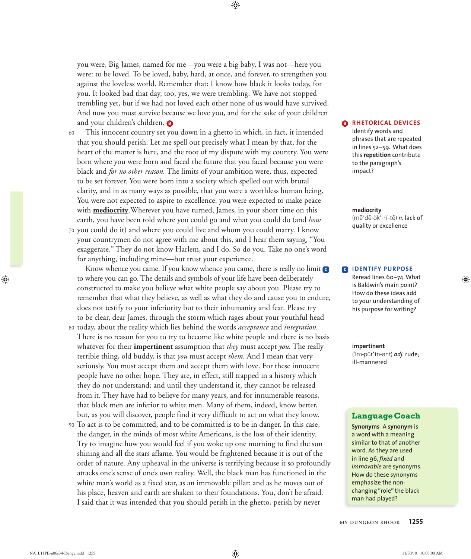you were, Big James, named for me—you were a big baby, I was not—here you were: to be loved. To be loved, baby, hard, at once, and forever, to strengthen you against the loveless world. Remember that: I know how black it looks today, for you. It looked bad that day, too, yes, we were trembling. We have not stopped trembling yet, but if we had not loved each other none of us would have survived. And now you must survive because we love you, and for the sake of your children and your children's children. **b**

- This innocent country set you down in a ghetto in which, in fact, it intended that you should perish. Let me spell out precisely what I mean by that, for the heart of the matter is here, and the root of my dispute with my country. You were born where you were born and faced the future that you faced because you were black and *for no other reason.* The limits of your ambition were, thus, expected to be set forever. You were born into a society which spelled out with brutal clarity, and in as many ways as possible, that you were a worthless human being. You were not expected to aspire to excellence: you were expected to make peace with **mediocrity**.Wherever you have turned, James, in your short time on this earth, you have been told where you could go and what you could do (and *how* 60
- you could do it) and where you could live and whom you could marry. I know 70 your countrymen do not agree with me about this, and I hear them saying, "You exaggerate." They do not know Harlem, and I do. So do you. Take no one's word for anything, including mine—but trust your experience.

Know whence you came. If you know whence you came, there is really no limit **c** to where you can go. The details and symbols of your life have been deliberately constructed to make you believe what white people say about you. Please try to remember that what they believe, as well as what they do and cause you to endure, does not testify to your inferiority but to their inhumanity and fear. Please try to be clear, dear James, through the storm which rages about your youthful head

- today, about the reality which lies behind the words *acceptance* and *integration.* 80 There is no reason for you to try to become like white people and there is no basis whatever for their **impertinent** assumption that *they* must accept *you.* The really terrible thing, old buddy, is that *you* must accept *them*. And I mean that very seriously. You must accept them and accept them with love. For these innocent people have no other hope. They are, in effect, still trapped in a history which they do not understand; and until they understand it, they cannot be released from it. They have had to believe for many years, and for innumerable reasons, that black men are inferior to white men. Many of them, indeed, know better, but, as you will discover, people find it very difficult to act on what they know.
- To act is to be committed, and to be committed is to be in danger. In this case, 90 the danger, in the minds of most white Americans, is the loss of their identity. Try to imagine how you would feel if you woke up one morning to find the sun shining and all the stars aflame. You would be frightened because it is out of the order of nature. Any upheaval in the universe is terrifying because it so profoundly attacks one's sense of one's own reality. Well, the black man has functioned in the white man's world as a fixed star, as an immovable pillar: and as he moves out of his place, heaven and earth are shaken to their foundations. You, don't be afraid. I said that it was intended that you should perish in the ghetto, perish by never

#### **<b>B** RHETORICAL DEVICES

Identify words and phrases that are repeated in lines 52–59. What does this **repetition** contribute to the paragraph's impact?

**mediocrity**  (mē'dē-ŏk'-rĭ-tē) n. lack of quality or excellence

#### **c IDENTIFY PURPOSE**

Reread lines 60–74. What is Baldwin's main point? How do these ideas add to your understanding of his purpose for writing?

**impertinent** 

(Im-pûr'tn-ent) *adj.* rude; ill-mannered

#### **Language Coach**

**Synonyms** A **synonym** is a word with a meaning similar to that of another word. As they are used in line 96, *fixed* and *immovable* are synonyms. How do these synonyms emphasize the nonchanging "role" the black man had played?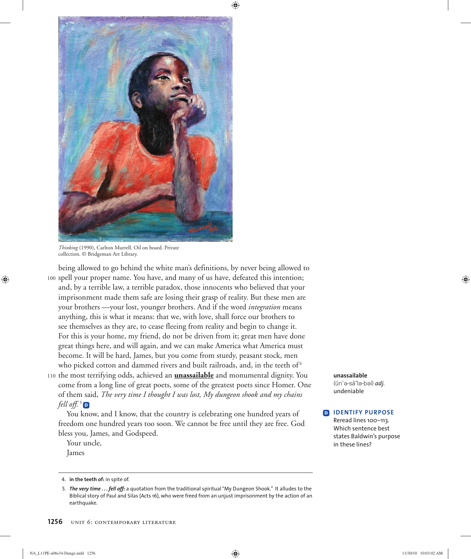

*Thinking* (1990), Carlton Murrell. Oil on board. Private collection. © Bridgeman Art Library.

being allowed to go behind the white man's definitions, by never being allowed to 100 spell your proper name. You have, and many of us have, defeated this intention; and, by a terrible law, a terrible paradox, those innocents who believed that your imprisonment made them safe are losing their grasp of reality. But these men are your brothers —your lost, younger brothers. And if the word *integration* means anything, this is what it means: that we, with love, shall force our brothers to see themselves as they are, to cease fleeing from reality and begin to change it. For this is your home, my friend, do not be driven from it; great men have done great things here, and will again, and we can make America what America must become. It will be hard, James, but you come from sturdy, peasant stock, men who picked cotton and dammed rivers and built railroads, and, in the teeth of  $4$ 110 the most terrifying odds, achieved an **<u>unassailable</u>** and monumental dignity. You come from a long line of great poets, some of the greatest poets since Homer. One of them said, *The very time I thought I was lost, My dungeon shook and my chains*

#### *fell off.*<sup>5</sup> $\blacksquare$

You know, and I know, that the country is celebrating one hundred years of freedom one hundred years too soon. We cannot be free until they are free. God bless you, James, and Godspeed.

Your uncle, James

**unassailable**  (ŭn'a-sā'la-bal) *adj.* undeniable

#### **d IDENTIFY PURPOSE**

Reread lines 100–113. Which sentence best states Baldwin's purpose in these lines?

 <sup>4.</sup> **in the teeth of:** in spite of.

 <sup>5.</sup> *The very time . . . fell off:* a quotation from the traditional spiritual "My Dungeon Shook." It alludes to the Biblical story of Paul and Silas (Acts 16), who were freed from an unjust imprisonment by the action of an earthquake.